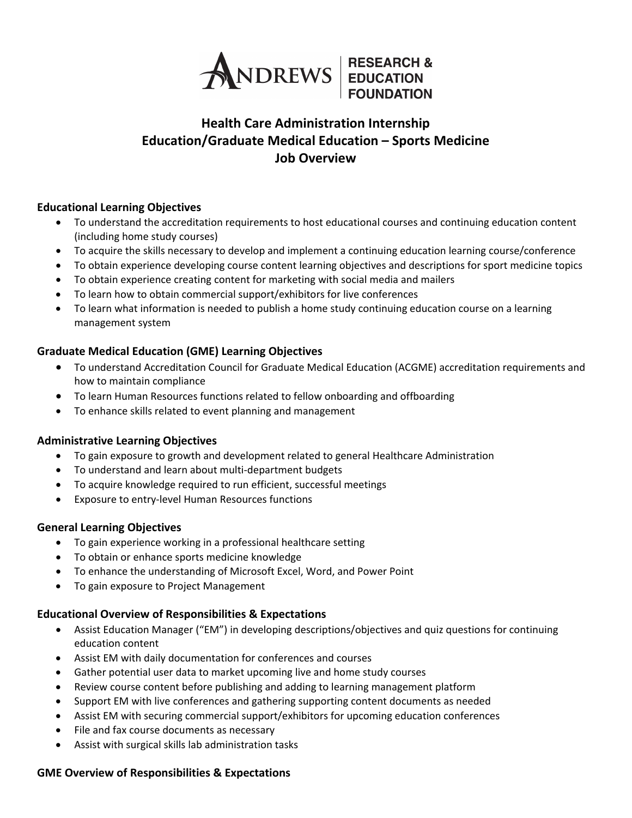

## **Health Care Administration Internship Education/Graduate Medical Education – Sports Medicine Job Overview**

#### **Educational Learning Objectives**

- To understand the accreditation requirements to host educational courses and continuing education content (including home study courses)
- To acquire the skills necessary to develop and implement a continuing education learning course/conference
- To obtain experience developing course content learning objectives and descriptions for sport medicine topics
- To obtain experience creating content for marketing with social media and mailers
- To learn how to obtain commercial support/exhibitors for live conferences
- To learn what information is needed to publish a home study continuing education course on a learning management system

### **Graduate Medical Education (GME) Learning Objectives**

- To understand Accreditation Council for Graduate Medical Education (ACGME) accreditation requirements and how to maintain compliance
- To learn Human Resources functions related to fellow onboarding and offboarding
- To enhance skills related to event planning and management

#### **Administrative Learning Objectives**

- To gain exposure to growth and development related to general Healthcare Administration
- To understand and learn about multi-department budgets
- To acquire knowledge required to run efficient, successful meetings
- Exposure to entry-level Human Resources functions

#### **General Learning Objectives**

- To gain experience working in a professional healthcare setting
- To obtain or enhance sports medicine knowledge
- To enhance the understanding of Microsoft Excel, Word, and Power Point
- To gain exposure to Project Management

#### **Educational Overview of Responsibilities & Expectations**

- Assist Education Manager ("EM") in developing descriptions/objectives and quiz questions for continuing education content
- Assist EM with daily documentation for conferences and courses
- Gather potential user data to market upcoming live and home study courses
- Review course content before publishing and adding to learning management platform
- Support EM with live conferences and gathering supporting content documents as needed
- Assist EM with securing commercial support/exhibitors for upcoming education conferences
- File and fax course documents as necessary
- Assist with surgical skills lab administration tasks

#### **GME Overview of Responsibilities & Expectations**